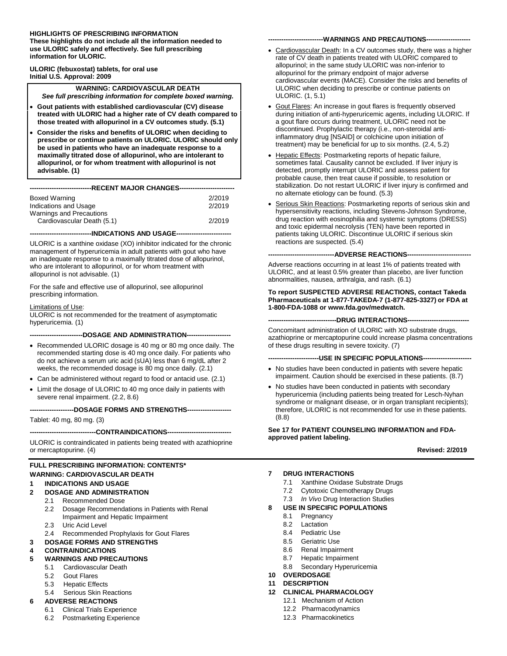#### **HIGHLIGHTS OF PRESCRIBING INFORMATION**

**These highlights do not include all the information needed to use ULORIC safely and effectively. See full prescribing information for ULORIC.**

**ULORIC (febuxostat) tablets, for oral use Initial U.S. Approval: 2009**

**WARNING: CARDIOVASCULAR DEATH** *See full prescribing information for complete boxed warning.*

- **Gout patients with established cardiovascular (CV) disease treated with ULORIC had a higher rate of CV death compared to those treated with allopurinol in a CV outcomes study. (5.1)**
- **Consider the risks and benefits of ULORIC when deciding to prescribe or continue patients on ULORIC. ULORIC should only be used in patients who have an inadequate response to a maximally titrated dose of allopurinol, who are intolerant to allopurinol, or for whom treatment with allopurinol is not advisable. (1)**

| Boxed Warning              | 2/2019 |  |  |  |
|----------------------------|--------|--|--|--|
| Indications and Usage      | 2/2019 |  |  |  |
| Warnings and Precautions   |        |  |  |  |
| Cardiovascular Death (5.1) | 2/2019 |  |  |  |

**----------------------------INDICATIONS AND USAGE-------------------------**

ULORIC is a xanthine oxidase (XO) inhibitor indicated for the chronic management of hyperuricemia in adult patients with gout who have an inadequate response to a maximally titrated dose of allopurinol, who are intolerant to allopurinol, or for whom treatment with allopurinol is not advisable. (1)

For the safe and effective use of allopurinol, see allopurinol prescribing information.

#### Limitations of Use:

ULORIC is not recommended for the treatment of asymptomatic hyperuricemia. (1)

**------------------------DOSAGE AND ADMINISTRATION--------------------**

- Recommended ULORIC dosage is 40 mg or 80 mg once daily. The recommended starting dose is 40 mg once daily. For patients who do not achieve a serum uric acid (sUA) less than 6 mg/dL after 2 weeks, the recommended dosage is 80 mg once daily. (2.1)
- Can be administered without regard to food or antacid use. (2.1)
- Limit the dosage of ULORIC to 40 mg once daily in patients with severe renal impairment. (2.2, 8.6)

**--------------------DOSAGE FORMS AND STRENGTHS--------------------**

Tablet: 40 mg, 80 mg. (3)

#### **------------------------------CONTRAINDICATIONS-----------------------------**

ULORIC is contraindicated in patients being treated with azathioprine or mercaptopurine. (4)

#### **FULL PRESCRIBING INFORMATION: CONTENTS\* WARNING: CARDIOVASCULAR DEATH**

#### **1 INDICATIONS AND USAGE**

- **2 DOSAGE AND ADMINISTRATION**
- 2.1 Recommended Dose
	- 2.2 Dosage Recommendations in Patients with Renal Impairment and Hepatic Impairment
	- 2.3 Uric Acid Level
- 2.4 Recommended Prophylaxis for Gout Flares

#### **3 DOSAGE FORMS AND STRENGTHS**

#### **4 CONTRAINDICATIONS**

#### **5 WARNINGS AND PRECAUTIONS**

- 5.1 Cardiovascular Death
	- 5.2 Gout Flares
	- 5.3 Hepatic Effects
	- 5.4 Serious Skin Reactions

#### **6 ADVERSE REACTIONS**

- 6.1 Clinical Trials Experience
- 6.2 Postmarketing Experience

#### ---WARNINGS AND PRECAUTIONS----

- Cardiovascular Death: In a CV outcomes study, there was a higher rate of CV death in patients treated with ULORIC compared to allopurinol; in the same study ULORIC was non-inferior to allopurinol for the primary endpoint of major adverse cardiovascular events (MACE). Consider the risks and benefits of ULORIC when deciding to prescribe or continue patients on ULORIC. (1, 5.1)
- Gout Flares: An increase in gout flares is frequently observed during initiation of anti-hyperuricemic agents, including ULORIC. If a gout flare occurs during treatment, ULORIC need not be discontinued. Prophylactic therapy (i.e., non-steroidal antiinflammatory drug [NSAID] or colchicine upon initiation of treatment) may be beneficial for up to six months. (2.4, 5.2)
- Hepatic Effects: Postmarketing reports of hepatic failure, sometimes fatal. Causality cannot be excluded. If liver injury is detected, promptly interrupt ULORIC and assess patient for probable cause, then treat cause if possible, to resolution or stabilization. Do not restart ULORIC if liver injury is confirmed and no alternate etiology can be found. (5.3)
- Serious Skin Reactions: Postmarketing reports of serious skin and hypersensitivity reactions, including Stevens-Johnson Syndrome, drug reaction with eosinophilia and systemic symptoms (DRESS) and toxic epidermal necrolysis (TEN) have been reported in patients taking ULORIC. Discontinue ULORIC if serious skin reactions are suspected. (5.4)

#### ---ADVERSE REACTIONS--

Adverse reactions occurring in at least 1% of patients treated with ULORIC, and at least 0.5% greater than placebo, are liver function abnormalities, nausea, arthralgia, and rash. (6.1)

#### **To report SUSPECTED ADVERSE REACTIONS, contact Takeda Pharmaceuticals at 1-877-TAKEDA-7 (1-877-825-3327) or FDA at 1-800-FDA-1088 or www.fda.gov/medwatch.**

#### **-------------------------------DRUG INTERACTIONS----------------------------**

Concomitant administration of ULORIC with XO substrate drugs, azathioprine or mercaptopurine could increase plasma concentrations of these drugs resulting in severe toxicity. (7)

---USE IN SPECIFIC POPULATIONS---

- No studies have been conducted in patients with severe hepatic impairment. Caution should be exercised in these patients. (8.7)
- No studies have been conducted in patients with secondary hyperuricemia (including patients being treated for Lesch-Nyhan syndrome or malignant disease, or in organ transplant recipients); therefore, ULORIC is not recommended for use in these patients. (8.8)

#### **See 17 for PATIENT COUNSELING INFORMATION and FDAapproved patient labeling.**

**Revised: 2/2019**

#### **7 DRUG INTERACTIONS**

- 7.1 Xanthine Oxidase Substrate Drugs
- 7.2 Cytotoxic Chemotherapy Drugs
- 7.3 *In Vivo* Drug Interaction Studies
- **8 USE IN SPECIFIC POPULATIONS**
	- 8.1 Pregnancy
	- 8.2 Lactation
	- 8.4 Pediatric Use
	- 8.5 Geriatric Use
	- 8.6 Renal Impairment
	- 8.7 Hepatic Impairment
	- 8.8 Secondary Hyperuricemia
- **10 OVERDOSAGE**
- **11 DESCRIPTION**
- **12 CLINICAL PHARMACOLOGY**
	- 12.1 Mechanism of Action
	- 12.2 Pharmacodynamics
	- 12.3 Pharmacokinetics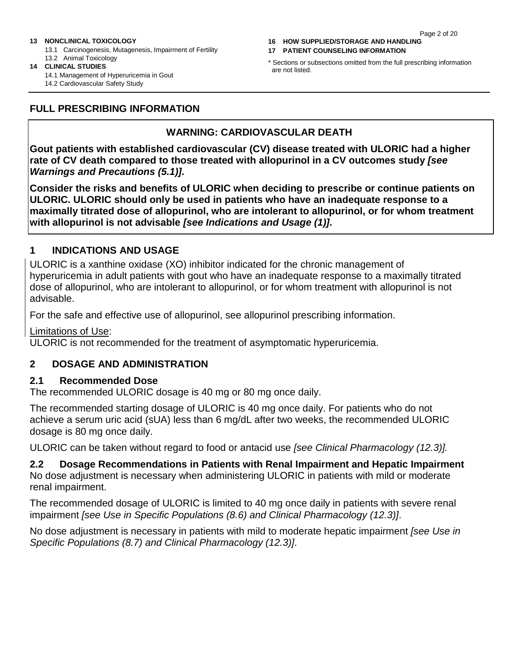#### Page 2 of 20

#### **13 NONCLINICAL TOXICOLOGY**

13.1 Carcinogenesis, Mutagenesis, Impairment of Fertility 13.2 Animal Toxicology

**14 CLINICAL STUDIES** 14.1 Management of Hyperuricemia in Gout 14.2 Cardiovascular Safety Study

**16 HOW SUPPLIED/STORAGE AND HANDLING**

**17 PATIENT COUNSELING INFORMATION**

\* Sections or subsections omitted from the full prescribing information are not listed.

#### **FULL PRESCRIBING INFORMATION**

#### **WARNING: CARDIOVASCULAR DEATH**

**Gout patients with established cardiovascular (CV) disease treated with ULORIC had a higher rate of CV death compared to those treated with allopurinol in a CV outcomes study** *[see Warnings and Precautions (5.1)]***.**

**Consider the risks and benefits of ULORIC when deciding to prescribe or continue patients on ULORIC. ULORIC should only be used in patients who have an inadequate response to a maximally titrated dose of allopurinol, who are intolerant to allopurinol, or for whom treatment with allopurinol is not advisable** *[see Indications and Usage (1)]***.**

#### **1 INDICATIONS AND USAGE**

ULORIC is a xanthine oxidase (XO) inhibitor indicated for the chronic management of hyperuricemia in adult patients with gout who have an inadequate response to a maximally titrated dose of allopurinol, who are intolerant to allopurinol, or for whom treatment with allopurinol is not advisable.

For the safe and effective use of allopurinol, see allopurinol prescribing information.

Limitations of Use:

ULORIC is not recommended for the treatment of asymptomatic hyperuricemia.

#### **2 DOSAGE AND ADMINISTRATION**

#### **2.1 Recommended Dose**

The recommended ULORIC dosage is 40 mg or 80 mg once daily.

The recommended starting dosage of ULORIC is 40 mg once daily. For patients who do not achieve a serum uric acid (sUA) less than 6 mg/dL after two weeks, the recommended ULORIC dosage is 80 mg once daily.

ULORIC can be taken without regard to food or antacid use *[see Clinical Pharmacology (12.3)].*

**2.2 Dosage Recommendations in Patients with Renal Impairment and Hepatic Impairment** No dose adjustment is necessary when administering ULORIC in patients with mild or moderate renal impairment.

The recommended dosage of ULORIC is limited to 40 mg once daily in patients with severe renal impairment *[see Use in Specific Populations (8.6) and Clinical Pharmacology (12.3)]*.

No dose adjustment is necessary in patients with mild to moderate hepatic impairment *[see Use in Specific Populations (8.7) and Clinical Pharmacology (12.3)]*.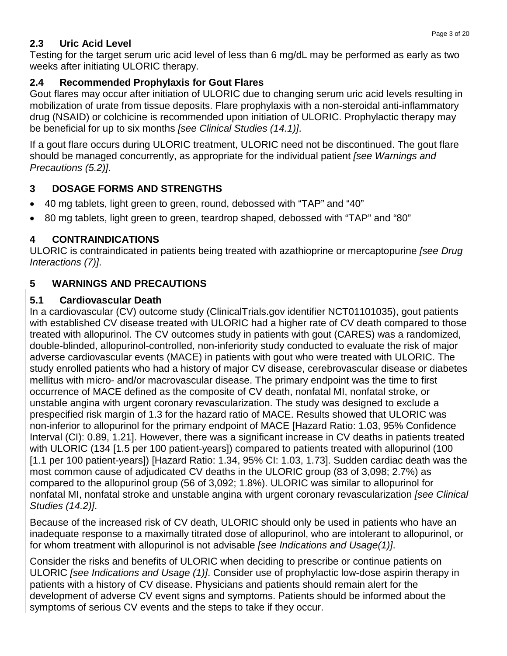### **2.3 Uric Acid Level**

Testing for the target serum uric acid level of less than 6 mg/dL may be performed as early as two weeks after initiating ULORIC therapy.

### **2.4 Recommended Prophylaxis for Gout Flares**

Gout flares may occur after initiation of ULORIC due to changing serum uric acid levels resulting in mobilization of urate from tissue deposits. Flare prophylaxis with a non-steroidal anti-inflammatory drug (NSAID) or colchicine is recommended upon initiation of ULORIC. Prophylactic therapy may be beneficial for up to six months *[see Clinical Studies (14.1)]*.

If a gout flare occurs during ULORIC treatment, ULORIC need not be discontinued. The gout flare should be managed concurrently, as appropriate for the individual patient *[see Warnings and Precautions (5.2)]*.

## **3 DOSAGE FORMS AND STRENGTHS**

- 40 mg tablets, light green to green, round, debossed with "TAP" and "40"
- 80 mg tablets, light green to green, teardrop shaped, debossed with "TAP" and "80"

## **4 CONTRAINDICATIONS**

ULORIC is contraindicated in patients being treated with azathioprine or mercaptopurine *[see Drug Interactions (7)]*.

## **5 WARNINGS AND PRECAUTIONS**

### **5.1 Cardiovascular Death**

In a cardiovascular (CV) outcome study (ClinicalTrials.gov identifier NCT01101035), gout patients with established CV disease treated with ULORIC had a higher rate of CV death compared to those treated with allopurinol. The CV outcomes study in patients with gout (CARES) was a randomized, double-blinded, allopurinol-controlled, non-inferiority study conducted to evaluate the risk of major adverse cardiovascular events (MACE) in patients with gout who were treated with ULORIC. The study enrolled patients who had a history of major CV disease, cerebrovascular disease or diabetes mellitus with micro- and/or macrovascular disease. The primary endpoint was the time to first occurrence of MACE defined as the composite of CV death, nonfatal MI, nonfatal stroke, or unstable angina with urgent coronary revascularization. The study was designed to exclude a prespecified risk margin of 1.3 for the hazard ratio of MACE. Results showed that ULORIC was non-inferior to allopurinol for the primary endpoint of MACE [Hazard Ratio: 1.03, 95% Confidence Interval (CI): 0.89, 1.21]. However, there was a significant increase in CV deaths in patients treated with ULORIC (134 [1.5 per 100 patient-years]) compared to patients treated with allopurinol (100 [1.1 per 100 patient-years]) [Hazard Ratio: 1.34, 95% CI: 1.03, 1.73]. Sudden cardiac death was the most common cause of adjudicated CV deaths in the ULORIC group (83 of 3,098; 2.7%) as compared to the allopurinol group (56 of 3,092; 1.8%). ULORIC was similar to allopurinol for nonfatal MI, nonfatal stroke and unstable angina with urgent coronary revascularization *[see Clinical Studies (14.2)]*.

Because of the increased risk of CV death, ULORIC should only be used in patients who have an inadequate response to a maximally titrated dose of allopurinol, who are intolerant to allopurinol, or for whom treatment with allopurinol is not advisable *[see Indications and Usage(1)]*.

Consider the risks and benefits of ULORIC when deciding to prescribe or continue patients on ULORIC *[see Indications and Usage (1)]*. Consider use of prophylactic low-dose aspirin therapy in patients with a history of CV disease. Physicians and patients should remain alert for the development of adverse CV event signs and symptoms. Patients should be informed about the symptoms of serious CV events and the steps to take if they occur.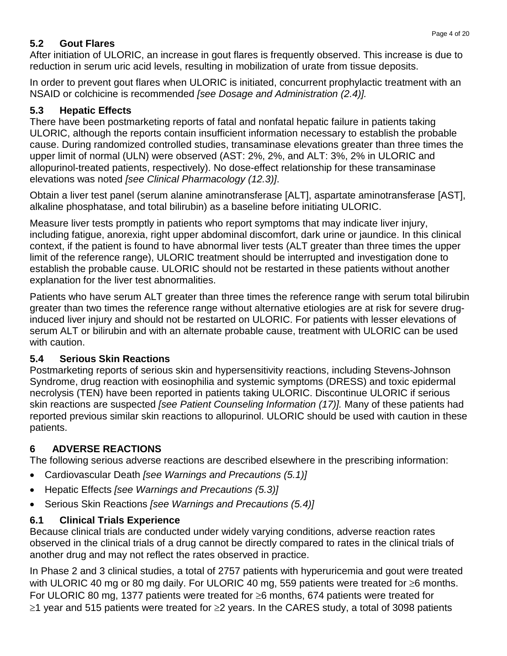## **5.2 Gout Flares**

After initiation of ULORIC, an increase in gout flares is frequently observed. This increase is due to reduction in serum uric acid levels, resulting in mobilization of urate from tissue deposits.

In order to prevent gout flares when ULORIC is initiated, concurrent prophylactic treatment with an NSAID or colchicine is recommended *[see Dosage and Administration (2.4)].*

## **5.3 Hepatic Effects**

There have been postmarketing reports of fatal and nonfatal hepatic failure in patients taking ULORIC, although the reports contain insufficient information necessary to establish the probable cause. During randomized controlled studies, transaminase elevations greater than three times the upper limit of normal (ULN) were observed (AST: 2%, 2%, and ALT: 3%, 2% in ULORIC and allopurinol-treated patients, respectively). No dose-effect relationship for these transaminase elevations was noted *[see Clinical Pharmacology (12.3)]*.

Obtain a liver test panel (serum alanine aminotransferase [ALT], aspartate aminotransferase [AST], alkaline phosphatase, and total bilirubin) as a baseline before initiating ULORIC.

Measure liver tests promptly in patients who report symptoms that may indicate liver injury, including fatigue, anorexia, right upper abdominal discomfort, dark urine or jaundice. In this clinical context, if the patient is found to have abnormal liver tests (ALT greater than three times the upper limit of the reference range), ULORIC treatment should be interrupted and investigation done to establish the probable cause. ULORIC should not be restarted in these patients without another explanation for the liver test abnormalities.

Patients who have serum ALT greater than three times the reference range with serum total bilirubin greater than two times the reference range without alternative etiologies are at risk for severe druginduced liver injury and should not be restarted on ULORIC. For patients with lesser elevations of serum ALT or bilirubin and with an alternate probable cause, treatment with ULORIC can be used with caution.

## **5.4 Serious Skin Reactions**

Postmarketing reports of serious skin and hypersensitivity reactions, including Stevens-Johnson Syndrome, drug reaction with eosinophilia and systemic symptoms (DRESS) and toxic epidermal necrolysis (TEN) have been reported in patients taking ULORIC. Discontinue ULORIC if serious skin reactions are suspected *[see Patient Counseling Information (17)].* Many of these patients had reported previous similar skin reactions to allopurinol. ULORIC should be used with caution in these patients.

# **6 ADVERSE REACTIONS**

The following serious adverse reactions are described elsewhere in the prescribing information:

- Cardiovascular Death *[see Warnings and Precautions (5.1)]*
- Hepatic Effects *[see Warnings and Precautions (5.3)]*
- Serious Skin Reactions *[see Warnings and Precautions (5.4)]*

## **6.1 Clinical Trials Experience**

Because clinical trials are conducted under widely varying conditions, adverse reaction rates observed in the clinical trials of a drug cannot be directly compared to rates in the clinical trials of another drug and may not reflect the rates observed in practice.

In Phase 2 and 3 clinical studies, a total of 2757 patients with hyperuricemia and gout were treated with ULORIC 40 mg or 80 mg daily. For ULORIC 40 mg, 559 patients were treated for ≥6 months. For ULORIC 80 mg, 1377 patients were treated for ≥6 months, 674 patients were treated for ≥1 year and 515 patients were treated for ≥2 years. In the CARES study, a total of 3098 patients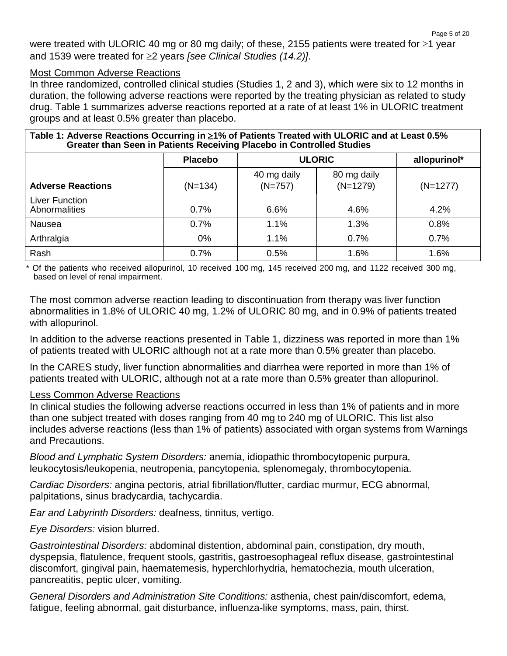were treated with ULORIC 40 mg or 80 mg daily; of these, 2155 patients were treated for ≥1 year and 1539 were treated for ≥2 years *[see Clinical Studies (14.2)]*.

#### Most Common Adverse Reactions

In three randomized, controlled clinical studies (Studies 1, 2 and 3), which were six to 12 months in duration, the following adverse reactions were reported by the treating physician as related to study drug. Table 1 summarizes adverse reactions reported at a rate of at least 1% in ULORIC treatment groups and at least 0.5% greater than placebo.

| Table 1: Adverse Reactions Occurring in ≥1% of Patients Treated with ULORIC and at Least 0.5%<br>Greater than Seen in Patients Receiving Placebo in Controlled Studies |                |                               |                           |            |  |  |
|------------------------------------------------------------------------------------------------------------------------------------------------------------------------|----------------|-------------------------------|---------------------------|------------|--|--|
|                                                                                                                                                                        | <b>Placebo</b> | <b>ULORIC</b><br>allopurinol* |                           |            |  |  |
| <b>Adverse Reactions</b>                                                                                                                                               | $(N=134)$      | 40 mg daily<br>$(N=757)$      | 80 mg daily<br>$(N=1279)$ | $(N=1277)$ |  |  |
| Liver Function<br>Abnormalities                                                                                                                                        | 0.7%           | 6.6%                          | 4.6%                      | 4.2%       |  |  |
| Nausea                                                                                                                                                                 | 0.7%           | 1.1%                          | 1.3%                      | 0.8%       |  |  |
| Arthralgia                                                                                                                                                             | 0%             | 1.1%                          | 0.7%                      | 0.7%       |  |  |
| Rash                                                                                                                                                                   | 0.7%           | 0.5%                          | 1.6%                      | 1.6%       |  |  |

\* Of the patients who received allopurinol, 10 received 100 mg, 145 received 200 mg, and 1122 received 300 mg, based on level of renal impairment.

The most common adverse reaction leading to discontinuation from therapy was liver function abnormalities in 1.8% of ULORIC 40 mg, 1.2% of ULORIC 80 mg, and in 0.9% of patients treated with allopurinol.

In addition to the adverse reactions presented in Table 1, dizziness was reported in more than 1% of patients treated with ULORIC although not at a rate more than 0.5% greater than placebo.

In the CARES study, liver function abnormalities and diarrhea were reported in more than 1% of patients treated with ULORIC, although not at a rate more than 0.5% greater than allopurinol.

#### Less Common Adverse Reactions

In clinical studies the following adverse reactions occurred in less than 1% of patients and in more than one subject treated with doses ranging from 40 mg to 240 mg of ULORIC. This list also includes adverse reactions (less than 1% of patients) associated with organ systems from Warnings and Precautions.

*Blood and Lymphatic System Disorders:* anemia, idiopathic thrombocytopenic purpura, leukocytosis/leukopenia, neutropenia, pancytopenia, splenomegaly, thrombocytopenia.

*Cardiac Disorders:* angina pectoris, atrial fibrillation/flutter, cardiac murmur, ECG abnormal, palpitations, sinus bradycardia, tachycardia.

*Ear and Labyrinth Disorders:* deafness, tinnitus, vertigo.

*Eye Disorders:* vision blurred.

*Gastrointestinal Disorders:* abdominal distention, abdominal pain, constipation, dry mouth, dyspepsia, flatulence, frequent stools, gastritis, gastroesophageal reflux disease, gastrointestinal discomfort, gingival pain, haematemesis, hyperchlorhydria, hematochezia, mouth ulceration, pancreatitis, peptic ulcer, vomiting.

*General Disorders and Administration Site Conditions:* asthenia, chest pain/discomfort, edema, fatigue, feeling abnormal, gait disturbance, influenza-like symptoms, mass, pain, thirst.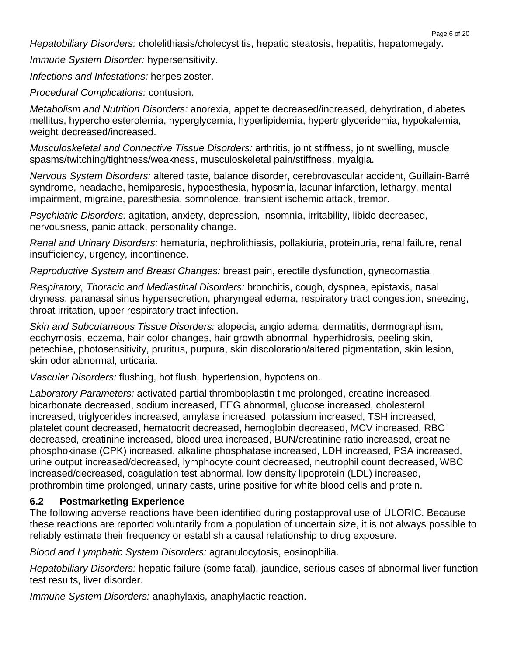*Hepatobiliary Disorders:* cholelithiasis/cholecystitis, hepatic steatosis, hepatitis, hepatomegaly.

*Immune System Disorder:* hypersensitivity.

*Infections and Infestations:* herpes zoster.

*Procedural Complications:* contusion.

*Metabolism and Nutrition Disorders:* anorexia, appetite decreased/increased, dehydration, diabetes mellitus, hypercholesterolemia, hyperglycemia, hyperlipidemia, hypertriglyceridemia, hypokalemia, weight decreased/increased.

*Musculoskeletal and Connective Tissue Disorders:* arthritis, joint stiffness, joint swelling, muscle spasms/twitching/tightness/weakness, musculoskeletal pain/stiffness, myalgia.

*Nervous System Disorders:* altered taste, balance disorder, cerebrovascular accident, Guillain-Barré syndrome, headache, hemiparesis, hypoesthesia, hyposmia, lacunar infarction, lethargy, mental impairment, migraine, paresthesia, somnolence, transient ischemic attack, tremor.

*Psychiatric Disorders:* agitation, anxiety, depression, insomnia, irritability, libido decreased, nervousness, panic attack, personality change.

*Renal and Urinary Disorders:* hematuria, nephrolithiasis, pollakiuria, proteinuria, renal failure, renal insufficiency, urgency, incontinence.

*Reproductive System and Breast Changes:* breast pain, erectile dysfunction, gynecomastia.

*Respiratory, Thoracic and Mediastinal Disorders:* bronchitis, cough, dyspnea, epistaxis, nasal dryness, paranasal sinus hypersecretion, pharyngeal edema, respiratory tract congestion, sneezing, throat irritation, upper respiratory tract infection.

*Skin and Subcutaneous Tissue Disorders:* alopecia*,* angio edema, dermatitis, dermographism, ecchymosis, eczema, hair color changes, hair growth abnormal, hyperhidrosis*,* peeling skin, petechiae, photosensitivity, pruritus, purpura, skin discoloration/altered pigmentation, skin lesion, skin odor abnormal, urticaria.

*Vascular Disorders:* flushing, hot flush, hypertension, hypotension.

*Laboratory Parameters:* activated partial thromboplastin time prolonged, creatine increased, bicarbonate decreased, sodium increased, EEG abnormal, glucose increased, cholesterol increased, triglycerides increased, amylase increased, potassium increased, TSH increased, platelet count decreased, hematocrit decreased, hemoglobin decreased, MCV increased, RBC decreased, creatinine increased, blood urea increased, BUN/creatinine ratio increased, creatine phosphokinase (CPK) increased, alkaline phosphatase increased, LDH increased, PSA increased, urine output increased/decreased, lymphocyte count decreased, neutrophil count decreased, WBC increased/decreased, coagulation test abnormal, low density lipoprotein (LDL) increased, prothrombin time prolonged, urinary casts, urine positive for white blood cells and protein.

### **6.2 Postmarketing Experience**

The following adverse reactions have been identified during postapproval use of ULORIC. Because these reactions are reported voluntarily from a population of uncertain size, it is not always possible to reliably estimate their frequency or establish a causal relationship to drug exposure.

*Blood and Lymphatic System Disorders:* agranulocytosis, eosinophilia.

*Hepatobiliary Disorders:* hepatic failure (some fatal), jaundice, serious cases of abnormal liver function test results, liver disorder.

*Immune System Disorders:* anaphylaxis, anaphylactic reaction.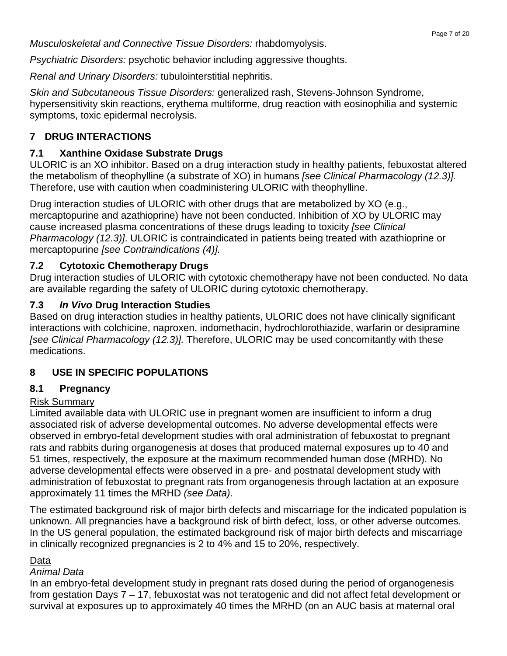*Musculoskeletal and Connective Tissue Disorders:* rhabdomyolysis.

*Psychiatric Disorders:* psychotic behavior including aggressive thoughts.

*Renal and Urinary Disorders:* tubulointerstitial nephritis.

*Skin and Subcutaneous Tissue Disorders:* generalized rash, Stevens-Johnson Syndrome, hypersensitivity skin reactions, erythema multiforme, drug reaction with eosinophilia and systemic symptoms, toxic epidermal necrolysis.

## **7 DRUG INTERACTIONS**

## **7.1 Xanthine Oxidase Substrate Drugs**

ULORIC is an XO inhibitor. Based on a drug interaction study in healthy patients, febuxostat altered the metabolism of theophylline (a substrate of XO) in humans *[see Clinical Pharmacology (12.3)].* Therefore, use with caution when coadministering ULORIC with theophylline.

Drug interaction studies of ULORIC with other drugs that are metabolized by XO (e.g., mercaptopurine and azathioprine) have not been conducted. Inhibition of XO by ULORIC may cause increased plasma concentrations of these drugs leading to toxicity *[see Clinical Pharmacology (12.3)]*. ULORIC is contraindicated in patients being treated with azathioprine or mercaptopurine *[see Contraindications (4)].*

## **7.2 Cytotoxic Chemotherapy Drugs**

Drug interaction studies of ULORIC with cytotoxic chemotherapy have not been conducted. No data are available regarding the safety of ULORIC during cytotoxic chemotherapy.

## **7.3** *In Vivo* **Drug Interaction Studies**

Based on drug interaction studies in healthy patients, ULORIC does not have clinically significant interactions with colchicine, naproxen, indomethacin, hydrochlorothiazide, warfarin or desipramine *[see Clinical Pharmacology (12.3)].* Therefore, ULORIC may be used concomitantly with these medications.

## **8 USE IN SPECIFIC POPULATIONS**

### **8.1 Pregnancy**

### Risk Summary

Limited available data with ULORIC use in pregnant women are insufficient to inform a drug associated risk of adverse developmental outcomes. No adverse developmental effects were observed in embryo-fetal development studies with oral administration of febuxostat to pregnant rats and rabbits during organogenesis at doses that produced maternal exposures up to 40 and 51 times, respectively, the exposure at the maximum recommended human dose (MRHD). No adverse developmental effects were observed in a pre- and postnatal development study with administration of febuxostat to pregnant rats from organogenesis through lactation at an exposure approximately 11 times the MRHD *(see Data)*.

The estimated background risk of major birth defects and miscarriage for the indicated population is unknown. All pregnancies have a background risk of birth defect, loss, or other adverse outcomes. In the US general population, the estimated background risk of major birth defects and miscarriage in clinically recognized pregnancies is 2 to 4% and 15 to 20%, respectively.

### Data

#### *Animal Data*

In an embryo-fetal development study in pregnant rats dosed during the period of organogenesis from gestation Days 7 – 17, febuxostat was not teratogenic and did not affect fetal development or survival at exposures up to approximately 40 times the MRHD (on an AUC basis at maternal oral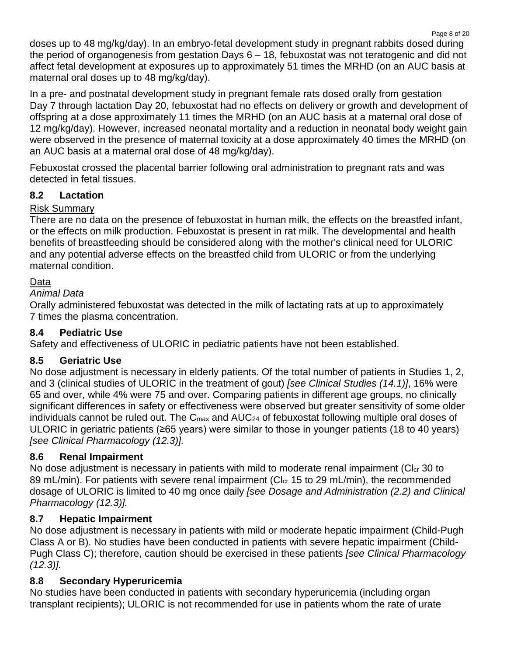Page 8 of 20 doses up to 48 mg/kg/day). In an embryo-fetal development study in pregnant rabbits dosed during the period of organogenesis from gestation Days 6 – 18, febuxostat was not teratogenic and did not affect fetal development at exposures up to approximately 51 times the MRHD (on an AUC basis at maternal oral doses up to 48 mg/kg/day).

In a pre- and postnatal development study in pregnant female rats dosed orally from gestation Day 7 through lactation Day 20, febuxostat had no effects on delivery or growth and development of offspring at a dose approximately 11 times the MRHD (on an AUC basis at a maternal oral dose of 12 mg/kg/day). However, increased neonatal mortality and a reduction in neonatal body weight gain were observed in the presence of maternal toxicity at a dose approximately 40 times the MRHD (on an AUC basis at a maternal oral dose of 48 mg/kg/day).

Febuxostat crossed the placental barrier following oral administration to pregnant rats and was detected in fetal tissues.

## **8.2 Lactation**

### Risk Summary

There are no data on the presence of febuxostat in human milk, the effects on the breastfed infant, or the effects on milk production. Febuxostat is present in rat milk. The developmental and health benefits of breastfeeding should be considered along with the mother's clinical need for ULORIC and any potential adverse effects on the breastfed child from ULORIC or from the underlying maternal condition.

#### Data

#### *Animal Data*

Orally administered febuxostat was detected in the milk of lactating rats at up to approximately 7 times the plasma concentration.

### **8.4 Pediatric Use**

Safety and effectiveness of ULORIC in pediatric patients have not been established.

### **8.5 Geriatric Use**

No dose adjustment is necessary in elderly patients. Of the total number of patients in Studies 1, 2, and 3 (clinical studies of ULORIC in the treatment of gout) *[see Clinical Studies (14.1)]*, 16% were 65 and over, while 4% were 75 and over. Comparing patients in different age groups, no clinically significant differences in safety or effectiveness were observed but greater sensitivity of some older individuals cannot be ruled out. The  $C_{\text{max}}$  and  $\text{AUC}_{24}$  of febuxostat following multiple oral doses of ULORIC in geriatric patients (≥65 years) were similar to those in younger patients (18 to 40 years) *[see Clinical Pharmacology (12.3)].*

### **8.6 Renal Impairment**

No dose adjustment is necessary in patients with mild to moderate renal impairment ( $Cl<sub>cr</sub>$  30 to 89 mL/min). For patients with severe renal impairment (Cl<sub>cr</sub> 15 to 29 mL/min), the recommended dosage of ULORIC is limited to 40 mg once daily *[see Dosage and Administration (2.2) and Clinical Pharmacology (12.3)].*

### **8.7 Hepatic Impairment**

No dose adjustment is necessary in patients with mild or moderate hepatic impairment (Child-Pugh Class A or B). No studies have been conducted in patients with severe hepatic impairment (Child-Pugh Class C); therefore, caution should be exercised in these patients *[see Clinical Pharmacology (12.3)].*

### **8.8 Secondary Hyperuricemia**

No studies have been conducted in patients with secondary hyperuricemia (including organ transplant recipients); ULORIC is not recommended for use in patients whom the rate of urate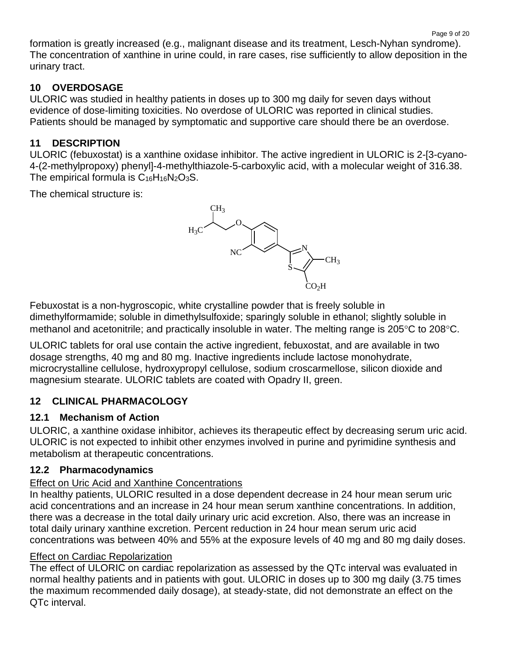formation is greatly increased (e.g., malignant disease and its treatment, Lesch-Nyhan syndrome). The concentration of xanthine in urine could, in rare cases, rise sufficiently to allow deposition in the urinary tract.

## **10 OVERDOSAGE**

ULORIC was studied in healthy patients in doses up to 300 mg daily for seven days without evidence of dose-limiting toxicities. No overdose of ULORIC was reported in clinical studies. Patients should be managed by symptomatic and supportive care should there be an overdose.

## **11 DESCRIPTION**

ULORIC (febuxostat) is a xanthine oxidase inhibitor. The active ingredient in ULORIC is 2-[3-cyano-4-(2-methylpropoxy) phenyl]-4-methylthiazole-5-carboxylic acid, with a molecular weight of 316.38. The empirical formula is  $C_{16}H_{16}N_2O_3S$ .

The chemical structure is:



Febuxostat is a non-hygroscopic, white crystalline powder that is freely soluble in dimethylformamide; soluble in dimethylsulfoxide; sparingly soluble in ethanol; slightly soluble in methanol and acetonitrile; and practically insoluble in water. The melting range is 205°C to 208°C.

ULORIC tablets for oral use contain the active ingredient, febuxostat, and are available in two dosage strengths, 40 mg and 80 mg. Inactive ingredients include lactose monohydrate, microcrystalline cellulose, hydroxypropyl cellulose, sodium croscarmellose, silicon dioxide and magnesium stearate. ULORIC tablets are coated with Opadry II, green.

## **12 CLINICAL PHARMACOLOGY**

### **12.1 Mechanism of Action**

ULORIC, a xanthine oxidase inhibitor, achieves its therapeutic effect by decreasing serum uric acid. ULORIC is not expected to inhibit other enzymes involved in purine and pyrimidine synthesis and metabolism at therapeutic concentrations.

## **12.2 Pharmacodynamics**

### Effect on Uric Acid and Xanthine Concentrations

In healthy patients, ULORIC resulted in a dose dependent decrease in 24 hour mean serum uric acid concentrations and an increase in 24 hour mean serum xanthine concentrations. In addition, there was a decrease in the total daily urinary uric acid excretion. Also, there was an increase in total daily urinary xanthine excretion. Percent reduction in 24 hour mean serum uric acid concentrations was between 40% and 55% at the exposure levels of 40 mg and 80 mg daily doses.

## Effect on Cardiac Repolarization

The effect of ULORIC on cardiac repolarization as assessed by the QTc interval was evaluated in normal healthy patients and in patients with gout. ULORIC in doses up to 300 mg daily (3.75 times the maximum recommended daily dosage), at steady-state, did not demonstrate an effect on the QTc interval.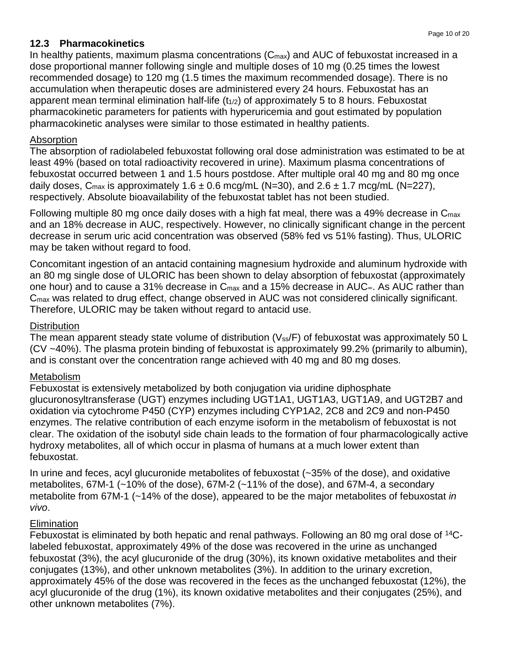#### **12.3 Pharmacokinetics**

In healthy patients, maximum plasma concentrations  $(C_{\text{max}})$  and AUC of febuxostat increased in a dose proportional manner following single and multiple doses of 10 mg (0.25 times the lowest recommended dosage) to 120 mg (1.5 times the maximum recommended dosage). There is no accumulation when therapeutic doses are administered every 24 hours. Febuxostat has an apparent mean terminal elimination half-life  $(t_{1/2})$  of approximately 5 to 8 hours. Febuxostat pharmacokinetic parameters for patients with hyperuricemia and gout estimated by population pharmacokinetic analyses were similar to those estimated in healthy patients.

#### Absorption

The absorption of radiolabeled febuxostat following oral dose administration was estimated to be at least 49% (based on total radioactivity recovered in urine). Maximum plasma concentrations of febuxostat occurred between 1 and 1.5 hours postdose. After multiple oral 40 mg and 80 mg once daily doses,  $C_{\text{max}}$  is approximately 1.6  $\pm$  0.6 mcg/mL (N=30), and 2.6  $\pm$  1.7 mcg/mL (N=227), respectively. Absolute bioavailability of the febuxostat tablet has not been studied.

Following multiple 80 mg once daily doses with a high fat meal, there was a 49% decrease in Cmax and an 18% decrease in AUC, respectively. However, no clinically significant change in the percent decrease in serum uric acid concentration was observed (58% fed vs 51% fasting). Thus, ULORIC may be taken without regard to food.

Concomitant ingestion of an antacid containing magnesium hydroxide and aluminum hydroxide with an 80 mg single dose of ULORIC has been shown to delay absorption of febuxostat (approximately one hour) and to cause a 31% decrease in C<sub>max</sub> and a 15% decrease in AUC∞. As AUC rather than Cmax was related to drug effect, change observed in AUC was not considered clinically significant. Therefore, ULORIC may be taken without regard to antacid use.

#### **Distribution**

The mean apparent steady state volume of distribution (V<sub>ss</sub>/F) of febuxostat was approximately 50 L (CV ~40%). The plasma protein binding of febuxostat is approximately 99.2% (primarily to albumin), and is constant over the concentration range achieved with 40 mg and 80 mg doses.

#### Metabolism

Febuxostat is extensively metabolized by both conjugation via uridine diphosphate glucuronosyltransferase (UGT) enzymes including UGT1A1, UGT1A3, UGT1A9, and UGT2B7 and oxidation via cytochrome P450 (CYP) enzymes including CYP1A2, 2C8 and 2C9 and non-P450 enzymes. The relative contribution of each enzyme isoform in the metabolism of febuxostat is not clear. The oxidation of the isobutyl side chain leads to the formation of four pharmacologically active hydroxy metabolites, all of which occur in plasma of humans at a much lower extent than febuxostat.

In urine and feces, acyl glucuronide metabolites of febuxostat (~35% of the dose), and oxidative metabolites, 67M-1 (~10% of the dose), 67M-2 (~11% of the dose), and 67M-4, a secondary metabolite from 67M-1 (~14% of the dose), appeared to be the major metabolites of febuxostat *in vivo*.

### Elimination

Febuxostat is eliminated by both hepatic and renal pathways. Following an 80 mg oral dose of 14Clabeled febuxostat, approximately 49% of the dose was recovered in the urine as unchanged febuxostat (3%), the acyl glucuronide of the drug (30%), its known oxidative metabolites and their conjugates (13%), and other unknown metabolites (3%). In addition to the urinary excretion, approximately 45% of the dose was recovered in the feces as the unchanged febuxostat (12%), the acyl glucuronide of the drug (1%), its known oxidative metabolites and their conjugates (25%), and other unknown metabolites (7%).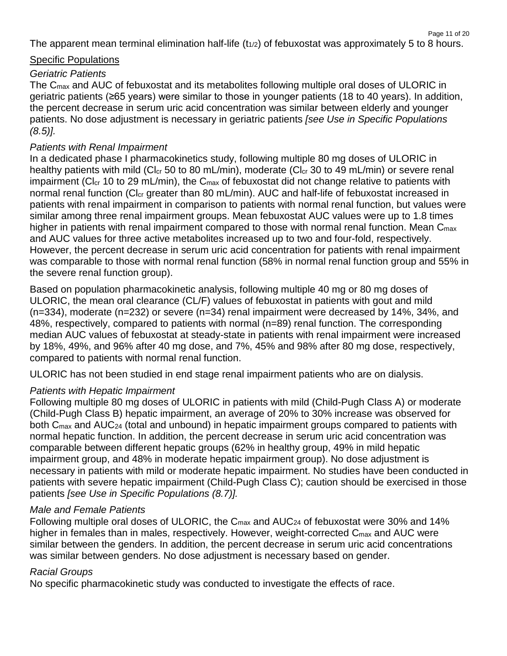Page 11 of 20 The apparent mean terminal elimination half-life  $(t_{1/2})$  of febuxostat was approximately 5 to 8 hours.

#### Specific Populations

#### *Geriatric Patients*

The Cmax and AUC of febuxostat and its metabolites following multiple oral doses of ULORIC in geriatric patients (≥65 years) were similar to those in younger patients (18 to 40 years). In addition, the percent decrease in serum uric acid concentration was similar between elderly and younger patients. No dose adjustment is necessary in geriatric patients *[see Use in Specific Populations (8.5)].* 

#### *Patients with Renal Impairment*

In a dedicated phase I pharmacokinetics study, following multiple 80 mg doses of ULORIC in healthy patients with mild (Cl<sub>cr</sub> 50 to 80 mL/min), moderate (Cl<sub>cr</sub> 30 to 49 mL/min) or severe renal impairment (C $\rm{lc}_r$  10 to 29 mL/min), the  $\rm{C}_{max}$  of febuxostat did not change relative to patients with normal renal function (Cl<sub>cr</sub> greater than 80 mL/min). AUC and half-life of febuxostat increased in patients with renal impairment in comparison to patients with normal renal function, but values were similar among three renal impairment groups. Mean febuxostat AUC values were up to 1.8 times higher in patients with renal impairment compared to those with normal renal function. Mean C<sub>max</sub> and AUC values for three active metabolites increased up to two and four-fold, respectively. However, the percent decrease in serum uric acid concentration for patients with renal impairment was comparable to those with normal renal function (58% in normal renal function group and 55% in the severe renal function group).

Based on population pharmacokinetic analysis, following multiple 40 mg or 80 mg doses of ULORIC, the mean oral clearance (CL/F) values of febuxostat in patients with gout and mild (n=334), moderate (n=232) or severe (n=34) renal impairment were decreased by 14%, 34%, and 48%, respectively, compared to patients with normal (n=89) renal function. The corresponding median AUC values of febuxostat at steady-state in patients with renal impairment were increased by 18%, 49%, and 96% after 40 mg dose, and 7%, 45% and 98% after 80 mg dose, respectively, compared to patients with normal renal function.

ULORIC has not been studied in end stage renal impairment patients who are on dialysis.

#### *Patients with Hepatic Impairment*

Following multiple 80 mg doses of ULORIC in patients with mild (Child-Pugh Class A) or moderate (Child-Pugh Class B) hepatic impairment, an average of 20% to 30% increase was observed for both C<sub>max</sub> and AUC<sub>24</sub> (total and unbound) in hepatic impairment groups compared to patients with normal hepatic function. In addition, the percent decrease in serum uric acid concentration was comparable between different hepatic groups (62% in healthy group, 49% in mild hepatic impairment group, and 48% in moderate hepatic impairment group). No dose adjustment is necessary in patients with mild or moderate hepatic impairment. No studies have been conducted in patients with severe hepatic impairment (Child-Pugh Class C); caution should be exercised in those patients *[see Use in Specific Populations (8.7)].* 

#### *Male and Female Patients*

Following multiple oral doses of ULORIC, the C<sub>max</sub> and AUC<sub>24</sub> of febuxostat were 30% and 14% higher in females than in males, respectively. However, weight-corrected C<sub>max</sub> and AUC were similar between the genders. In addition, the percent decrease in serum uric acid concentrations was similar between genders. No dose adjustment is necessary based on gender.

#### *Racial Groups*

No specific pharmacokinetic study was conducted to investigate the effects of race.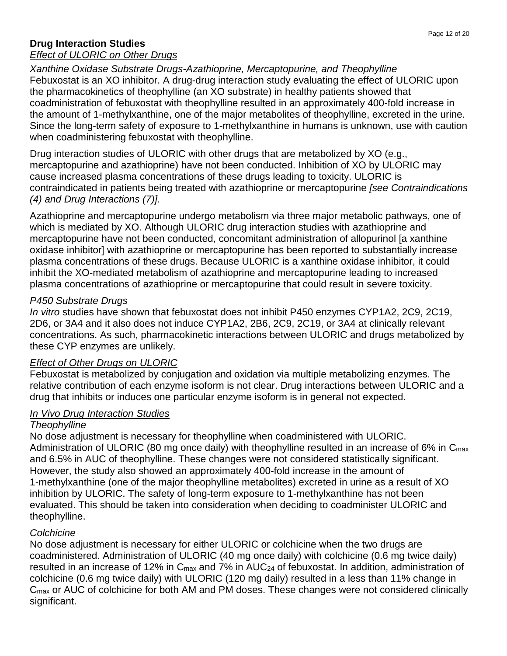#### **Drug Interaction Studies**

#### *Effect of ULORIC on Other Drugs*

*Xanthine Oxidase Substrate Drugs-Azathioprine, Mercaptopurine, and Theophylline*

Febuxostat is an XO inhibitor. A drug-drug interaction study evaluating the effect of ULORIC upon the pharmacokinetics of theophylline (an XO substrate) in healthy patients showed that coadministration of febuxostat with theophylline resulted in an approximately 400-fold increase in the amount of 1-methylxanthine, one of the major metabolites of theophylline, excreted in the urine. Since the long-term safety of exposure to 1-methylxanthine in humans is unknown, use with caution when coadministering febuxostat with theophylline.

Drug interaction studies of ULORIC with other drugs that are metabolized by XO (e.g., mercaptopurine and azathioprine) have not been conducted. Inhibition of XO by ULORIC may cause increased plasma concentrations of these drugs leading to toxicity. ULORIC is contraindicated in patients being treated with azathioprine or mercaptopurine *[see Contraindications (4) and Drug Interactions (7)].*

Azathioprine and mercaptopurine undergo metabolism via three major metabolic pathways, one of which is mediated by XO. Although ULORIC drug interaction studies with azathioprine and mercaptopurine have not been conducted, concomitant administration of allopurinol [a xanthine oxidase inhibitor] with azathioprine or mercaptopurine has been reported to substantially increase plasma concentrations of these drugs. Because ULORIC is a xanthine oxidase inhibitor, it could inhibit the XO-mediated metabolism of azathioprine and mercaptopurine leading to increased plasma concentrations of azathioprine or mercaptopurine that could result in severe toxicity.

#### *P450 Substrate Drugs*

*In vitro* studies have shown that febuxostat does not inhibit P450 enzymes CYP1A2, 2C9, 2C19, 2D6, or 3A4 and it also does not induce CYP1A2, 2B6, 2C9, 2C19, or 3A4 at clinically relevant concentrations. As such, pharmacokinetic interactions between ULORIC and drugs metabolized by these CYP enzymes are unlikely.

#### *Effect of Other Drugs on ULORIC*

Febuxostat is metabolized by conjugation and oxidation via multiple metabolizing enzymes. The relative contribution of each enzyme isoform is not clear. Drug interactions between ULORIC and a drug that inhibits or induces one particular enzyme isoform is in general not expected.

#### *In Vivo Drug Interaction Studies*

#### *Theophylline*

No dose adjustment is necessary for theophylline when coadministered with ULORIC. Administration of ULORIC (80 mg once daily) with theophylline resulted in an increase of 6% in  $C_{\text{max}}$ and 6.5% in AUC of theophylline. These changes were not considered statistically significant. However, the study also showed an approximately 400-fold increase in the amount of 1-methylxanthine (one of the major theophylline metabolites) excreted in urine as a result of XO inhibition by ULORIC. The safety of long-term exposure to 1-methylxanthine has not been evaluated. This should be taken into consideration when deciding to coadminister ULORIC and theophylline.

#### *Colchicine*

No dose adjustment is necessary for either ULORIC or colchicine when the two drugs are coadministered. Administration of ULORIC (40 mg once daily) with colchicine (0.6 mg twice daily) resulted in an increase of 12% in C<sub>max</sub> and 7% in AUC<sub>24</sub> of febuxostat. In addition, administration of colchicine (0.6 mg twice daily) with ULORIC (120 mg daily) resulted in a less than 11% change in C<sub>max</sub> or AUC of colchicine for both AM and PM doses. These changes were not considered clinically significant.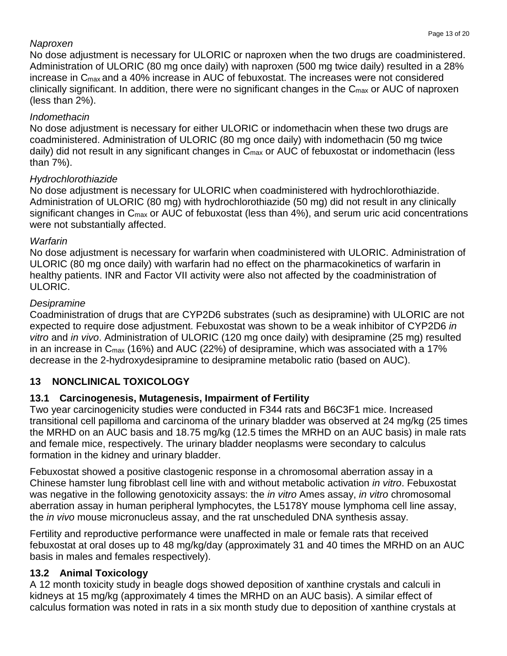#### *Naproxen*

No dose adjustment is necessary for ULORIC or naproxen when the two drugs are coadministered. Administration of ULORIC (80 mg once daily) with naproxen (500 mg twice daily) resulted in a 28% increase in Cmax and a 40% increase in AUC of febuxostat. The increases were not considered clinically significant. In addition, there were no significant changes in the Cmax or AUC of naproxen (less than 2%).

### *Indomethacin*

No dose adjustment is necessary for either ULORIC or indomethacin when these two drugs are coadministered. Administration of ULORIC (80 mg once daily) with indomethacin (50 mg twice daily) did not result in any significant changes in C<sub>max</sub> or AUC of febuxostat or indomethacin (less than 7%).

### *Hydrochlorothiazide*

No dose adjustment is necessary for ULORIC when coadministered with hydrochlorothiazide. Administration of ULORIC (80 mg) with hydrochlorothiazide (50 mg) did not result in any clinically significant changes in C<sub>max</sub> or AUC of febuxostat (less than 4%), and serum uric acid concentrations were not substantially affected.

### *Warfarin*

No dose adjustment is necessary for warfarin when coadministered with ULORIC. Administration of ULORIC (80 mg once daily) with warfarin had no effect on the pharmacokinetics of warfarin in healthy patients. INR and Factor VII activity were also not affected by the coadministration of ULORIC.

## *Desipramine*

Coadministration of drugs that are CYP2D6 substrates (such as desipramine) with ULORIC are not expected to require dose adjustment. Febuxostat was shown to be a weak inhibitor of CYP2D6 *in vitro* and *in vivo*. Administration of ULORIC (120 mg once daily) with desipramine (25 mg) resulted in an increase in  $C_{\text{max}}$  (16%) and AUC (22%) of desipramine, which was associated with a 17% decrease in the 2-hydroxydesipramine to desipramine metabolic ratio (based on AUC).

## **13 NONCLINICAL TOXICOLOGY**

# **13.1 Carcinogenesis, Mutagenesis, Impairment of Fertility**

Two year carcinogenicity studies were conducted in F344 rats and B6C3F1 mice. Increased transitional cell papilloma and carcinoma of the urinary bladder was observed at 24 mg/kg (25 times the MRHD on an AUC basis and 18.75 mg/kg (12.5 times the MRHD on an AUC basis) in male rats and female mice, respectively. The urinary bladder neoplasms were secondary to calculus formation in the kidney and urinary bladder.

Febuxostat showed a positive clastogenic response in a chromosomal aberration assay in a Chinese hamster lung fibroblast cell line with and without metabolic activation *in vitro*. Febuxostat was negative in the following genotoxicity assays: the *in vitro* Ames assay, *in vitro* chromosomal aberration assay in human peripheral lymphocytes, the L5178Y mouse lymphoma cell line assay, the *in vivo* mouse micronucleus assay, and the rat unscheduled DNA synthesis assay.

Fertility and reproductive performance were unaffected in male or female rats that received febuxostat at oral doses up to 48 mg/kg/day (approximately 31 and 40 times the MRHD on an AUC basis in males and females respectively).

# **13.2 Animal Toxicology**

A 12 month toxicity study in beagle dogs showed deposition of xanthine crystals and calculi in kidneys at 15 mg/kg (approximately 4 times the MRHD on an AUC basis). A similar effect of calculus formation was noted in rats in a six month study due to deposition of xanthine crystals at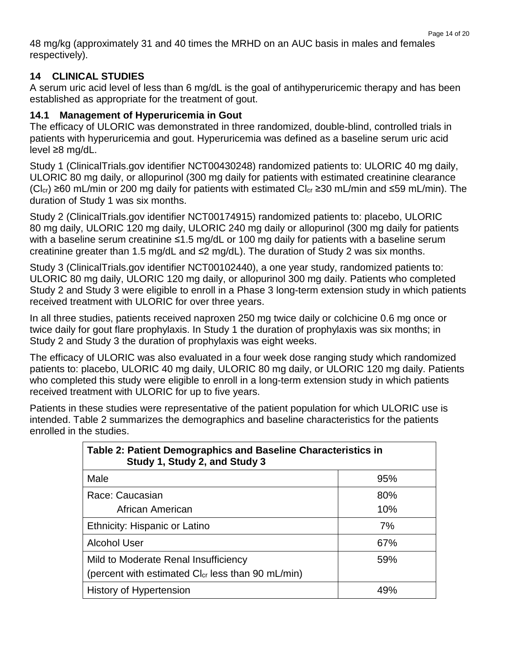48 mg/kg (approximately 31 and 40 times the MRHD on an AUC basis in males and females respectively).

#### **14 CLINICAL STUDIES**

A serum uric acid level of less than 6 mg/dL is the goal of antihyperuricemic therapy and has been established as appropriate for the treatment of gout.

#### **14.1 Management of Hyperuricemia in Gout**

The efficacy of ULORIC was demonstrated in three randomized, double-blind, controlled trials in patients with hyperuricemia and gout. Hyperuricemia was defined as a baseline serum uric acid level ≥8 mg/dL.

Study 1 (ClinicalTrials.gov identifier NCT00430248) randomized patients to: ULORIC 40 mg daily, ULORIC 80 mg daily, or allopurinol (300 mg daily for patients with estimated creatinine clearance (Cl<sub>cr</sub>) ≥60 mL/min or 200 mg daily for patients with estimated Cl<sub>cr</sub> ≥30 mL/min and ≤59 mL/min). The duration of Study 1 was six months.

Study 2 (ClinicalTrials.gov identifier NCT00174915) randomized patients to: placebo, ULORIC 80 mg daily, ULORIC 120 mg daily, ULORIC 240 mg daily or allopurinol (300 mg daily for patients with a baseline serum creatinine ≤1.5 mg/dL or 100 mg daily for patients with a baseline serum creatinine greater than 1.5 mg/dL and ≤2 mg/dL). The duration of Study 2 was six months.

Study 3 (ClinicalTrials.gov identifier NCT00102440), a one year study, randomized patients to: ULORIC 80 mg daily, ULORIC 120 mg daily, or allopurinol 300 mg daily. Patients who completed Study 2 and Study 3 were eligible to enroll in a Phase 3 long-term extension study in which patients received treatment with ULORIC for over three years.

In all three studies, patients received naproxen 250 mg twice daily or colchicine 0.6 mg once or twice daily for gout flare prophylaxis. In Study 1 the duration of prophylaxis was six months; in Study 2 and Study 3 the duration of prophylaxis was eight weeks.

The efficacy of ULORIC was also evaluated in a four week dose ranging study which randomized patients to: placebo, ULORIC 40 mg daily, ULORIC 80 mg daily, or ULORIC 120 mg daily. Patients who completed this study were eligible to enroll in a long-term extension study in which patients received treatment with ULORIC for up to five years.

Patients in these studies were representative of the patient population for which ULORIC use is intended. Table 2 summarizes the demographics and baseline characteristics for the patients enrolled in the studies.

| Table 2: Patient Demographics and Baseline Characteristics in<br>Study 1, Study 2, and Study 3 |     |
|------------------------------------------------------------------------------------------------|-----|
| Male                                                                                           | 95% |
| Race: Caucasian                                                                                | 80% |
| African American                                                                               | 10% |
| Ethnicity: Hispanic or Latino                                                                  | 7%  |
| <b>Alcohol User</b>                                                                            | 67% |
| Mild to Moderate Renal Insufficiency                                                           | 59% |
| (percent with estimated Cl <sub>cr</sub> less than 90 mL/min)                                  |     |
| <b>History of Hypertension</b>                                                                 | 49% |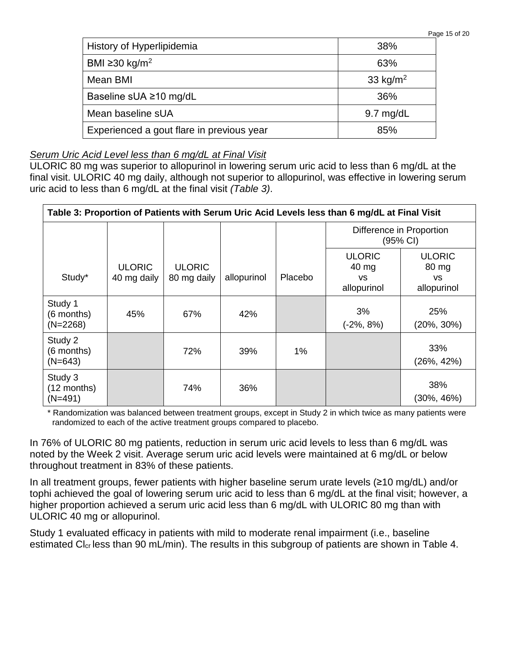| Page 15 of 20 |  |  |
|---------------|--|--|
|               |  |  |

| History of Hyperlipidemia                 | 38%                  |
|-------------------------------------------|----------------------|
| BMI ≥30 kg/m <sup>2</sup>                 | 63%                  |
| Mean BMI                                  | 33 kg/m <sup>2</sup> |
| Baseline sUA ≥10 mg/dL                    | 36%                  |
| Mean baseline sUA                         | $9.7 \text{ mg/dL}$  |
| Experienced a gout flare in previous year | 85%                  |

#### *Serum Uric Acid Level less than 6 mg/dL at Final Visit*

ULORIC 80 mg was superior to allopurinol in lowering serum uric acid to less than 6 mg/dL at the final visit. ULORIC 40 mg daily, although not superior to allopurinol, was effective in lowering serum uric acid to less than 6 mg/dL at the final visit *(Table 3)*.

| Table 3: Proportion of Patients with Serum Uric Acid Levels less than 6 mg/dL at Final Visit |                              |                              |             |         |                                                    |                                                    |  |
|----------------------------------------------------------------------------------------------|------------------------------|------------------------------|-------------|---------|----------------------------------------------------|----------------------------------------------------|--|
|                                                                                              |                              |                              |             |         | Difference in Proportion<br>(95% CI)               |                                                    |  |
| Study*                                                                                       | <b>ULORIC</b><br>40 mg daily | <b>ULORIC</b><br>80 mg daily | allopurinol | Placebo | <b>ULORIC</b><br>40 mg<br><b>VS</b><br>allopurinol | <b>ULORIC</b><br>80 mg<br><b>VS</b><br>allopurinol |  |
| Study 1<br>(6 months)<br>$(N=2268)$                                                          | 45%                          | 67%                          | 42%         |         | 3%<br>(-2%, 8%)                                    | 25%<br>$(20\%, 30\%)$                              |  |
| Study 2<br>(6 months)<br>$(N=643)$                                                           |                              | 72%                          | 39%         | 1%      |                                                    | 33%<br>$(26\%, 42\%)$                              |  |
| Study 3<br>$(12$ months)<br>$(N=491)$                                                        |                              | 74%                          | 36%         |         |                                                    | 38%<br>$(30\%, 46\%)$                              |  |

\* Randomization was balanced between treatment groups, except in Study 2 in which twice as many patients were randomized to each of the active treatment groups compared to placebo.

In 76% of ULORIC 80 mg patients, reduction in serum uric acid levels to less than 6 mg/dL was noted by the Week 2 visit. Average serum uric acid levels were maintained at 6 mg/dL or below throughout treatment in 83% of these patients.

In all treatment groups, fewer patients with higher baseline serum urate levels (≥10 mg/dL) and/or tophi achieved the goal of lowering serum uric acid to less than 6 mg/dL at the final visit; however, a higher proportion achieved a serum uric acid less than 6 mg/dL with ULORIC 80 mg than with ULORIC 40 mg or allopurinol.

Study 1 evaluated efficacy in patients with mild to moderate renal impairment (i.e., baseline estimated Cl<sub>cr</sub> less than 90 mL/min). The results in this subgroup of patients are shown in Table 4.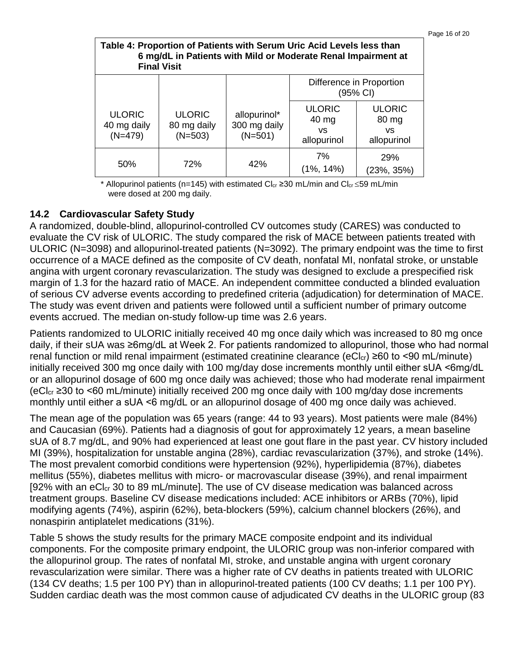| Page 16 of 20 |  |  |
|---------------|--|--|
|               |  |  |

| Table 4: Proportion of Patients with Serum Uric Acid Levels less than<br>6 mg/dL in Patients with Mild or Moderate Renal Impairment at<br><b>Final Visit</b> |                                           |                                           |                                              |                                              |  |  |
|--------------------------------------------------------------------------------------------------------------------------------------------------------------|-------------------------------------------|-------------------------------------------|----------------------------------------------|----------------------------------------------|--|--|
|                                                                                                                                                              |                                           |                                           |                                              | Difference in Proportion<br>(95% CI)         |  |  |
| <b>ULORIC</b><br>40 mg daily<br>$(N=479)$                                                                                                                    | <b>ULORIC</b><br>80 mg daily<br>$(N=503)$ | allopurinol*<br>300 mg daily<br>$(N=501)$ | <b>ULORIC</b><br>40 mg<br>VS.<br>allopurinol | <b>ULORIC</b><br>80 mg<br>VS.<br>allopurinol |  |  |
| 50%                                                                                                                                                          | 72%                                       | 42%                                       | 7%<br>$(1\%, 14\%)$                          | 29%<br>(23%, 35%)                            |  |  |

\* Allopurinol patients (n=145) with estimated Cl<sub>cr</sub> ≥30 mL/min and Cl<sub>cr</sub> ≤59 mL/min were dosed at 200 mg daily.

#### **14.2 Cardiovascular Safety Study**

A randomized, double-blind, allopurinol-controlled CV outcomes study (CARES) was conducted to evaluate the CV risk of ULORIC. The study compared the risk of MACE between patients treated with ULORIC (N=3098) and allopurinol-treated patients (N=3092). The primary endpoint was the time to first occurrence of a MACE defined as the composite of CV death, nonfatal MI, nonfatal stroke, or unstable angina with urgent coronary revascularization. The study was designed to exclude a prespecified risk margin of 1.3 for the hazard ratio of MACE. An independent committee conducted a blinded evaluation of serious CV adverse events according to predefined criteria (adjudication) for determination of MACE. The study was event driven and patients were followed until a sufficient number of primary outcome events accrued. The median on-study follow-up time was 2.6 years.

Patients randomized to ULORIC initially received 40 mg once daily which was increased to 80 mg once daily, if their sUA was ≥6mg/dL at Week 2. For patients randomized to allopurinol, those who had normal renal function or mild renal impairment (estimated creatinine clearance ( $eCl<sub>cr</sub>$ ) ≥60 to <90 mL/minute) initially received 300 mg once daily with 100 mg/day dose increments monthly until either sUA ˂6mg/dL or an allopurinol dosage of 600 mg once daily was achieved; those who had moderate renal impairment (eClcr ≥30 to ˂60 mL/minute) initially received 200 mg once daily with 100 mg/day dose increments monthly until either a sUA ˂6 mg/dL or an allopurinol dosage of 400 mg once daily was achieved.

The mean age of the population was 65 years (range: 44 to 93 years). Most patients were male (84%) and Caucasian (69%). Patients had a diagnosis of gout for approximately 12 years, a mean baseline sUA of 8.7 mg/dL, and 90% had experienced at least one gout flare in the past year. CV history included MI (39%), hospitalization for unstable angina (28%), cardiac revascularization (37%), and stroke (14%). The most prevalent comorbid conditions were hypertension (92%), hyperlipidemia (87%), diabetes mellitus (55%), diabetes mellitus with micro- or macrovascular disease (39%), and renal impairment [92% with an eCl<sub>cr</sub> 30 to 89 mL/minute]. The use of CV disease medication was balanced across treatment groups. Baseline CV disease medications included: ACE inhibitors or ARBs (70%), lipid modifying agents (74%), aspirin (62%), beta-blockers (59%), calcium channel blockers (26%), and nonaspirin antiplatelet medications (31%).

Table 5 shows the study results for the primary MACE composite endpoint and its individual components. For the composite primary endpoint, the ULORIC group was non-inferior compared with the allopurinol group. The rates of nonfatal MI, stroke, and unstable angina with urgent coronary revascularization were similar. There was a higher rate of CV deaths in patients treated with ULORIC (134 CV deaths; 1.5 per 100 PY) than in allopurinol-treated patients (100 CV deaths; 1.1 per 100 PY). Sudden cardiac death was the most common cause of adjudicated CV deaths in the ULORIC group (83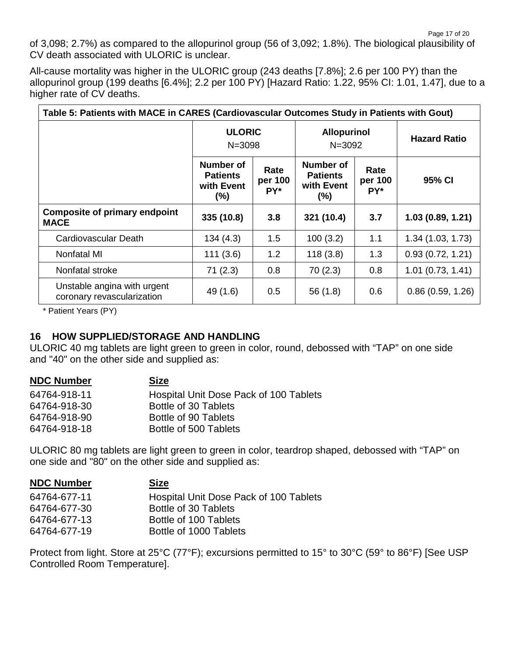of 3,098; 2.7%) as compared to the allopurinol group (56 of 3,092; 1.8%). The biological plausibility of CV death associated with ULORIC is unclear.

All-cause mortality was higher in the ULORIC group (243 deaths [7.8%]; 2.6 per 100 PY) than the allopurinol group (199 deaths [6.4%]; 2.2 per 100 PY) [Hazard Ratio: 1.22, 95% CI: 1.01, 1.47], due to a higher rate of CV deaths.

| Table 5: Patients with MACE in CARES (Cardiovascular Outcomes Study in Patients with Gout) |                                                      |                        |                                                      |                        |                     |  |
|--------------------------------------------------------------------------------------------|------------------------------------------------------|------------------------|------------------------------------------------------|------------------------|---------------------|--|
|                                                                                            | <b>ULORIC</b><br>$N = 3098$                          |                        | <b>Allopurinol</b><br>$N = 3092$                     |                        | <b>Hazard Ratio</b> |  |
|                                                                                            | Number of<br><b>Patients</b><br>with Event<br>$(\%)$ | Rate<br>per 100<br>PY* | Number of<br><b>Patients</b><br>with Event<br>$(\%)$ | Rate<br>per 100<br>PY* | 95% CI              |  |
| <b>Composite of primary endpoint</b><br><b>MACE</b>                                        | 335 (10.8)                                           | 3.8                    | 321 (10.4)                                           | 3.7                    | 1.03(0.89, 1.21)    |  |
| Cardiovascular Death                                                                       | 134(4.3)                                             | 1.5                    | 100(3.2)                                             | 1.1                    | 1.34(1.03, 1.73)    |  |
| Nonfatal MI                                                                                | 111(3.6)                                             | 1.2                    | 118(3.8)                                             | 1.3                    | 0.93(0.72, 1.21)    |  |
| Nonfatal stroke                                                                            | 71(2.3)                                              | 0.8                    | 70(2.3)                                              | 0.8                    | $1.01$ (0.73, 1.41) |  |
| Unstable angina with urgent<br>coronary revascularization                                  | 49 (1.6)                                             | 0.5                    | 56(1.8)                                              | 0.6                    | 0.86(0.59, 1.26)    |  |

\* Patient Years (PY)

#### **16 HOW SUPPLIED/STORAGE AND HANDLING**

ULORIC 40 mg tablets are light green to green in color, round, debossed with "TAP" on one side and "40" on the other side and supplied as:

| Hospital Unit Dose Pack of 100 Tablets |
|----------------------------------------|
|                                        |
|                                        |
|                                        |
|                                        |

ULORIC 80 mg tablets are light green to green in color, teardrop shaped, debossed with "TAP" on one side and "80" on the other side and supplied as:

| <b>NDC Number</b> | <b>Size</b>                            |
|-------------------|----------------------------------------|
| 64764-677-11      | Hospital Unit Dose Pack of 100 Tablets |
| 64764-677-30      | Bottle of 30 Tablets                   |
| 64764-677-13      | Bottle of 100 Tablets                  |
| 64764-677-19      | Bottle of 1000 Tablets                 |

Protect from light. Store at 25°C (77°F); excursions permitted to 15° to 30°C (59° to 86°F) [See USP Controlled Room Temperature].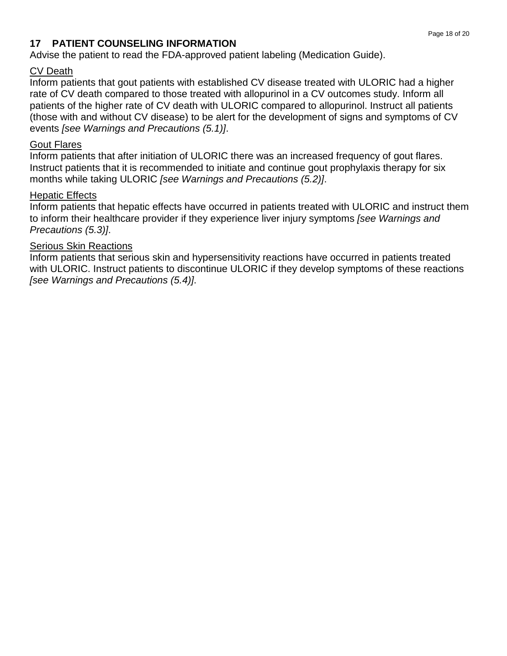#### **17 PATIENT COUNSELING INFORMATION**

Advise the patient to read the FDA-approved patient labeling (Medication Guide).

#### CV Death

Inform patients that gout patients with established CV disease treated with ULORIC had a higher rate of CV death compared to those treated with allopurinol in a CV outcomes study. Inform all patients of the higher rate of CV death with ULORIC compared to allopurinol. Instruct all patients (those with and without CV disease) to be alert for the development of signs and symptoms of CV events *[see Warnings and Precautions (5.1)]*.

#### Gout Flares

Inform patients that after initiation of ULORIC there was an increased frequency of gout flares. Instruct patients that it is recommended to initiate and continue gout prophylaxis therapy for six months while taking ULORIC *[see Warnings and Precautions (5.2)]*.

#### Hepatic Effects

Inform patients that hepatic effects have occurred in patients treated with ULORIC and instruct them to inform their healthcare provider if they experience liver injury symptoms *[see Warnings and Precautions (5.3)]*.

#### Serious Skin Reactions

Inform patients that serious skin and hypersensitivity reactions have occurred in patients treated with ULORIC. Instruct patients to discontinue ULORIC if they develop symptoms of these reactions *[see Warnings and Precautions (5.4)]*.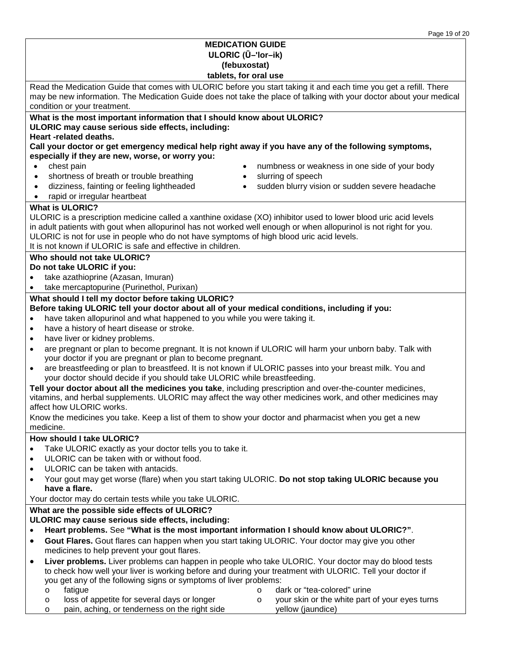|                                                                                                                                                                                     | Page 19 of 20 |  |  |  |
|-------------------------------------------------------------------------------------------------------------------------------------------------------------------------------------|---------------|--|--|--|
| <b>MEDICATION GUIDE</b>                                                                                                                                                             |               |  |  |  |
| ULORIC (U-'lor-ik)                                                                                                                                                                  |               |  |  |  |
| (febuxostat)                                                                                                                                                                        |               |  |  |  |
| tablets, for oral use                                                                                                                                                               |               |  |  |  |
| Read the Medication Guide that comes with ULORIC before you start taking it and each time you get a refill. There                                                                   |               |  |  |  |
| may be new information. The Medication Guide does not take the place of talking with your doctor about your medical                                                                 |               |  |  |  |
| condition or your treatment.                                                                                                                                                        |               |  |  |  |
| What is the most important information that I should know about ULORIC?                                                                                                             |               |  |  |  |
| ULORIC may cause serious side effects, including:                                                                                                                                   |               |  |  |  |
| Heart -related deaths.                                                                                                                                                              |               |  |  |  |
| Call your doctor or get emergency medical help right away if you have any of the following symptoms,                                                                                |               |  |  |  |
| especially if they are new, worse, or worry you:                                                                                                                                    |               |  |  |  |
| chest pain<br>numbness or weakness in one side of your body<br>$\bullet$                                                                                                            |               |  |  |  |
| shortness of breath or trouble breathing<br>slurring of speech<br>$\bullet$<br>$\bullet$                                                                                            |               |  |  |  |
| dizziness, fainting or feeling lightheaded<br>sudden blurry vision or sudden severe headache<br>$\bullet$                                                                           |               |  |  |  |
| rapid or irregular heartbeat<br>$\bullet$                                                                                                                                           |               |  |  |  |
| <b>What is ULORIC?</b>                                                                                                                                                              |               |  |  |  |
| ULORIC is a prescription medicine called a xanthine oxidase (XO) inhibitor used to lower blood uric acid levels                                                                     |               |  |  |  |
| in adult patients with gout when allopurinol has not worked well enough or when allopurinol is not right for you.                                                                   |               |  |  |  |
| ULORIC is not for use in people who do not have symptoms of high blood uric acid levels.<br>It is not known if ULORIC is safe and effective in children.                            |               |  |  |  |
|                                                                                                                                                                                     |               |  |  |  |
| Who should not take ULORIC?<br>Do not take ULORIC if you:                                                                                                                           |               |  |  |  |
|                                                                                                                                                                                     |               |  |  |  |
| take azathioprine (Azasan, Imuran)<br>take mercaptopurine (Purinethol, Purixan)                                                                                                     |               |  |  |  |
|                                                                                                                                                                                     |               |  |  |  |
| What should I tell my doctor before taking ULORIC?<br>Before taking ULORIC tell your doctor about all of your medical conditions, including if you:                                 |               |  |  |  |
| have taken allopurinol and what happened to you while you were taking it.<br>$\bullet$                                                                                              |               |  |  |  |
| have a history of heart disease or stroke.<br>$\bullet$                                                                                                                             |               |  |  |  |
| have liver or kidney problems.<br>$\bullet$                                                                                                                                         |               |  |  |  |
| are pregnant or plan to become pregnant. It is not known if ULORIC will harm your unborn baby. Talk with<br>$\bullet$                                                               |               |  |  |  |
| your doctor if you are pregnant or plan to become pregnant.                                                                                                                         |               |  |  |  |
| are breastfeeding or plan to breastfeed. It is not known if ULORIC passes into your breast milk. You and<br>$\bullet$                                                               |               |  |  |  |
| your doctor should decide if you should take ULORIC while breastfeeding.                                                                                                            |               |  |  |  |
| Tell your doctor about all the medicines you take, including prescription and over-the-counter medicines,                                                                           |               |  |  |  |
| vitamins, and herbal supplements. ULORIC may affect the way other medicines work, and other medicines may                                                                           |               |  |  |  |
| affect how ULORIC works.                                                                                                                                                            |               |  |  |  |
| Know the medicines you take. Keep a list of them to show your doctor and pharmacist when you get a new                                                                              |               |  |  |  |
| medicine.                                                                                                                                                                           |               |  |  |  |
| How should I take ULORIC?                                                                                                                                                           |               |  |  |  |
| Take ULORIC exactly as your doctor tells you to take it.                                                                                                                            |               |  |  |  |
| ULORIC can be taken with or without food.<br>$\bullet$                                                                                                                              |               |  |  |  |
| ULORIC can be taken with antacids.<br>$\bullet$                                                                                                                                     |               |  |  |  |
| Your gout may get worse (flare) when you start taking ULORIC. Do not stop taking ULORIC because you<br>$\bullet$                                                                    |               |  |  |  |
| have a flare.                                                                                                                                                                       |               |  |  |  |
| Your doctor may do certain tests while you take ULORIC.                                                                                                                             |               |  |  |  |
| What are the possible side effects of ULORIC?                                                                                                                                       |               |  |  |  |
| ULORIC may cause serious side effects, including:                                                                                                                                   |               |  |  |  |
| Heart problems. See "What is the most important information I should know about ULORIC?".                                                                                           |               |  |  |  |
| Gout Flares. Gout flares can happen when you start taking ULORIC. Your doctor may give you other<br>$\bullet$                                                                       |               |  |  |  |
| medicines to help prevent your gout flares.                                                                                                                                         |               |  |  |  |
| Liver problems. Liver problems can happen in people who take ULORIC. Your doctor may do blood tests<br>$\bullet$                                                                    |               |  |  |  |
| to check how well your liver is working before and during your treatment with ULORIC. Tell your doctor if                                                                           |               |  |  |  |
| you get any of the following signs or symptoms of liver problems:                                                                                                                   |               |  |  |  |
| dark or "tea-colored" urine<br>fatigue<br>$\circ$<br>$\circ$                                                                                                                        |               |  |  |  |
| loss of appetite for several days or longer<br>your skin or the white part of your eyes turns<br>$\circ$<br>O<br>pain, aching, or tenderness on the right side<br>yellow (jaundice) |               |  |  |  |
| O                                                                                                                                                                                   |               |  |  |  |